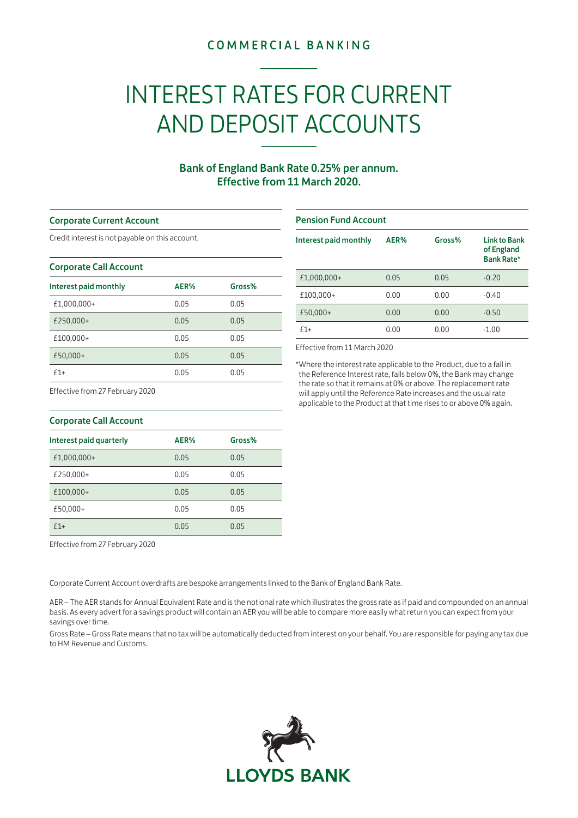## **COMMERCIAL BANKING**

# INTEREST RATES FOR CURRENT AND DEPOSIT ACCOUNTS

### Bank of England Bank Rate 0.25% per annum. Effective from 11 March 2020.

#### Corporate Current Account

Credit interest is not payable on this account.

#### Corporate Call Account

| Interest paid monthly | AER% | Gross% |
|-----------------------|------|--------|
| £1,000,000+           | 0.05 | 0.05   |
| £250,000+             | 0.05 | 0.05   |
| £100,000+             | 0.05 | 0.05   |
| £50,000+              | 0.05 | 0.05   |
| $f1+$                 | 0.05 | 0.05   |

#### Pension Fund Account

| Interest paid monthly | AER% | Gross% | <b>Link to Bank</b><br>of England<br><b>Bank Rate*</b> |
|-----------------------|------|--------|--------------------------------------------------------|
| £1,000,000+           | 0.05 | 0.05   | $-0.20$                                                |
| £100,000+             | 0.00 | 0.00   | $-0.40$                                                |
| £50,000+              | 0.00 | 0.00   | $-0.50$                                                |
| $f1+$                 | 0.00 | 0.00   | $-1.00$                                                |

Effective from 11 March 2020

\*Where the interest rate applicable to the Product, due to a fall in the Reference Interest rate, falls below 0%, the Bank may change the rate so that it remains at 0% or above. The replacement rate will apply until the Reference Rate increases and the usual rate applicable to the Product at that time rises to or above 0% again.

Effective from 27 February 2020

| Corporate Call Account  |      |        |  |
|-------------------------|------|--------|--|
| Interest paid quarterly | AER% | Gross% |  |
| £1,000,000+             | 0.05 | 0.05   |  |
| £250,000+               | 0.05 | 0.05   |  |
| £100,000+               | 0.05 | 0.05   |  |
| £50,000+                | 0.05 | 0.05   |  |
| $f1+$                   | 0.05 | 0.05   |  |

Effective from 27 February 2020

Corporate Current Account overdrafts are bespoke arrangements linked to the Bank of England Bank Rate.

AER – The AER stands for Annual Equivalent Rate and is the notional rate which illustrates the gross rate as if paid and compounded on an annual basis. As every advert for a savings product will contain an AER you will be able to compare more easily what return you can expect from your savings over time.

Gross Rate – Gross Rate means that no tax will be automatically deducted from interest on your behalf. You are responsible for paying any tax due to HM Revenue and Customs.



| <b>Corporate Call Account</b> |  |
|-------------------------------|--|
|-------------------------------|--|